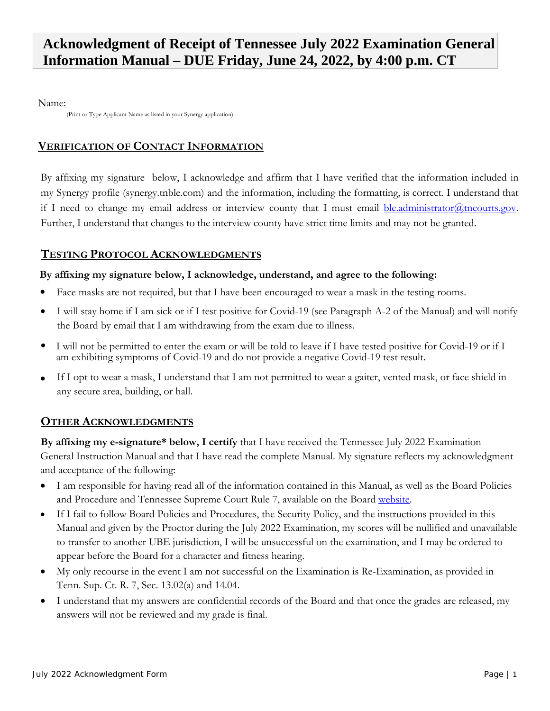# **Acknowledgment of Receipt of Tennessee July 2022 Examination General Information Manual – DUE Friday, June 24, 2022, by 4:00 p.m. CT**

Name:

(Print or Type Applicant Name as listed in your Synergy application)

# **VERIFICATION OF CONTACT INFORMATION**

By affixing my signature below, I acknowledge and affirm that I have verified that the information included in my Synergy profile (synergy.tnble.com) and the information, including the formatting, is correct. I understand that if I need to change my email address or interview county that I must email ble.administrator@tncourts.gov. Further, I understand that changes to the interview county have strict time limits and may not be granted.

## **TESTING PROTOCOL ACKNOWLEDGMENTS**

#### **By affixing my signature below, I acknowledge, understand, and agree to the following:**

- Face masks are not required, but that I have been encouraged to wear a mask in the testing rooms.
- I will stay home if I am sick or if I test positive for Covid-19 (see Paragraph A-2 of the Manual) and will notify the Board by email that I am withdrawing from the exam due to illness.
- I will not be permitted to enter the exam or will be told to leave if I have tested positive for Covid-19 or if I am exhibiting symptoms of Covid-19 and do not provide a negative Covid-19 test result.
- If I opt to wear a mask, I understand that I am not permitted to wear a gaiter, vented mask, or face shield in any secure area, building, or hall.

## **OTHER ACKNOWLEDGMENTS**

**By affixing my e-signature\* below, I certify** that I have received the Tennessee July 2022 Examination General Instruction Manual and that I have read the complete Manual. My signature reflects my acknowledgment and acceptance of the following:

- I am responsible for having read all of the information contained in this Manual, as well as the Board Policies and Procedure and Tennessee Supreme Court Rule 7, available on the Board [website.](https://www.tnble.org/?page_id=56)
- If I fail to follow Board Policies and Procedures, the Security Policy, and the instructions provided in this Manual and given by the Proctor during the July 2022 Examination, my scores will be nullified and unavailable to transfer to another UBE jurisdiction, I will be unsuccessful on the examination, and I may be ordered to appear before the Board for a character and fitness hearing.
- My only recourse in the event I am not successful on the Examination is Re-Examination, as provided in Tenn. Sup. Ct. R. 7, Sec. 13.02(a) and 14.04.
- I understand that my answers are confidential records of the Board and that once the grades are released, my answers will not be reviewed and my grade is final.